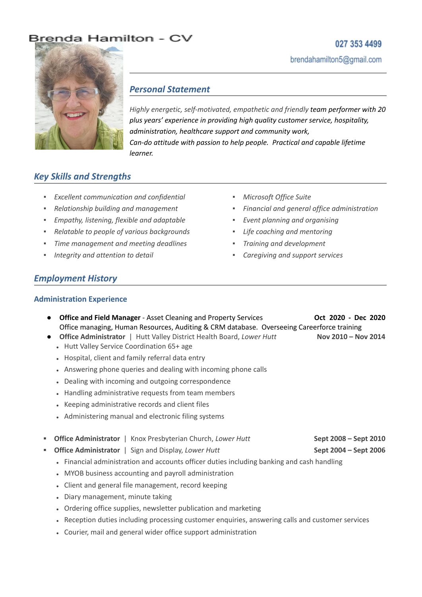# Brenda Hamilton - CV

# 027 353 4499 brendahamilton5@gmail.com



## *Personal Statement*

*Highly energetic, self-motivated, empathetic and friendly team performer with 20 plus years' experience in providing high quality customer service, hospitality, administration, healthcare support and community work, Can-do attitude with passion to help people. Practical and capable lifetime learner.*

# *Key Skills and Strengths*

- *▪ Excellent communication and confidential*
- *▪ Relationship building and management*
- *▪ Empathy, listening, flexible and adaptable*
- *▪ Relatable to people of various backgrounds*
- *▪ Time management and meeting deadlines*
- *▪ Integrity and attention to detail*
- *▪ Microsoft Office Suite*
- *▪ Financial and general office administration*
- *▪ Event planning and organising*
- *▪ Life coaching and mentoring*
- *▪ Training and development*
- *▪ Caregiving and support services*

## *Employment History*

### **Administration Experience**

- **● Office and Field Manager** Asset Cleaning and Property Services **Oct 2020 - Dec 2020** Office managing, Human Resources, Auditing & CRM database. Overseeing Careerforce training
- **● Office Administrator** | Hutt Valley District Health Board, *Lower Hutt* **Nov 2010 – Nov 2014**
	- Hutt Valley Service Coordination 65+ age
	- Hospital, client and family referral data entry
	- Answering phone queries and dealing with incoming phone calls
	- Dealing with incoming and outgoing correspondence
	- Handling administrative requests from team members
	- Keeping administrative records and client files
	- Administering manual and electronic filing systems
- **▪ Office Administrator** | Knox Presbyterian Church, *Lower Hutt* **Sept 2008 – Sept 2010**
- **▪ Office Administrator** | Sign and Display, *Lower Hutt* **Sept 2004 – Sept 2006**
	- Financial administration and accounts officer duties including banking and cash handling
	- MYOB business accounting and payroll administration
	- Client and general file management, record keeping
	- Diary management, minute taking
	- Ordering office supplies, newsletter publication and marketing
	- Reception duties including processing customer enquiries, answering calls and customer services
	- Courier, mail and general wider office support administration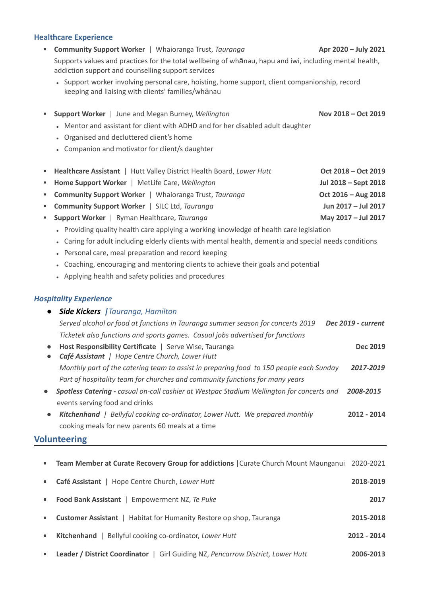#### **Healthcare Experience**

- **▪ Community Support Worker** | Whaioranga Trust, *Tauranga* **Apr 2020 – July 2021** Supports values and practices for the total wellbeing of whānau, hapu and iwi, including mental health, addiction support and counselling support services
	- Support worker involving personal care, hoisting, home support, client companionship, record keeping and liaising with clients' families/whānau
- **▪ Support Worker** | June and Megan Burney, *Wellington* **Nov 2018 – Oct 2019**
	- Mentor and assistant for client with ADHD and for her disabled adult daughter
	- Organised and decluttered client's home
	- Companion and motivator for client/s daughter

| " Healthcare Assistant   Hutt Valley District Health Board, Lower Hutt | Oct 2018 - Oct 2019  |
|------------------------------------------------------------------------|----------------------|
| " Home Support Worker   MetLife Care, Wellington                       | Jul 2018 - Sept 2018 |
| " Community Support Worker   Whaioranga Trust, Tauranga                | Oct 2016 - Aug 2018  |
| " Community Support Worker   SILC Ltd, Tauranga                        | Jun 2017 - Jul 2017  |
| " Support Worker   Ryman Healthcare, Tauranga                          | May 2017 - Jul 2017  |

- Providing quality health care applying a working knowledge of health care legislation
- Caring for adult including elderly clients with mental health, dementia and special needs conditions
- Personal care, meal preparation and record keeping
- Coaching, encouraging and mentoring clients to achieve their goals and potential
- Applying health and safety policies and procedures

#### *Hospitality Experience*

| $\bullet$ | <b>Side Kickers</b>   Tauranga, Hamilton                                                                  |                    |
|-----------|-----------------------------------------------------------------------------------------------------------|--------------------|
|           | Served alcohol or food at functions in Tauranga summer season for concerts 2019                           | Dec 2019 - current |
|           | Ticketek also functions and sports games. Casual jobs advertised for functions                            |                    |
| $\bullet$ | Host Responsibility Certificate   Serve Wise, Tauranga<br>Café Assistant   Hope Centre Church, Lower Hutt | Dec 2019           |
|           | Monthly part of the catering team to assist in preparing food to 150 people each Sunday                   | 2017-2019          |
|           | Part of hospitality team for churches and community functions for many years                              |                    |
| $\bullet$ | Spotless Catering - casual on-call cashier at Westpac Stadium Wellington for concerts and                 | 2008-2015          |
|           | events serving food and drinks                                                                            |                    |

**●** *Kitchenhand | Bellyful cooking co-ordinator, Lower Hutt. We prepared monthly* **2012 - 2014** cooking meals for new parents 60 meals at a time

## **Volunteering**

|   | Team Member at Curate Recovery Group for addictions   Curate Church Mount Maunganui 2020-2021 |             |
|---|-----------------------------------------------------------------------------------------------|-------------|
|   | Café Assistant   Hope Centre Church, Lower Hutt                                               | 2018-2019   |
|   | Food Bank Assistant   Empowerment NZ, Te Puke                                                 | 2017        |
|   | <b>Customer Assistant</b>   Habitat for Humanity Restore op shop, Tauranga                    | 2015-2018   |
| ш | <b>Kitchenhand</b>   Bellyful cooking co-ordinator, Lower Hutt                                | 2012 - 2014 |
|   | <b>Leader / District Coordinator</b>   Girl Guiding NZ, Pencarrow District, Lower Hutt        | 2006-2013   |